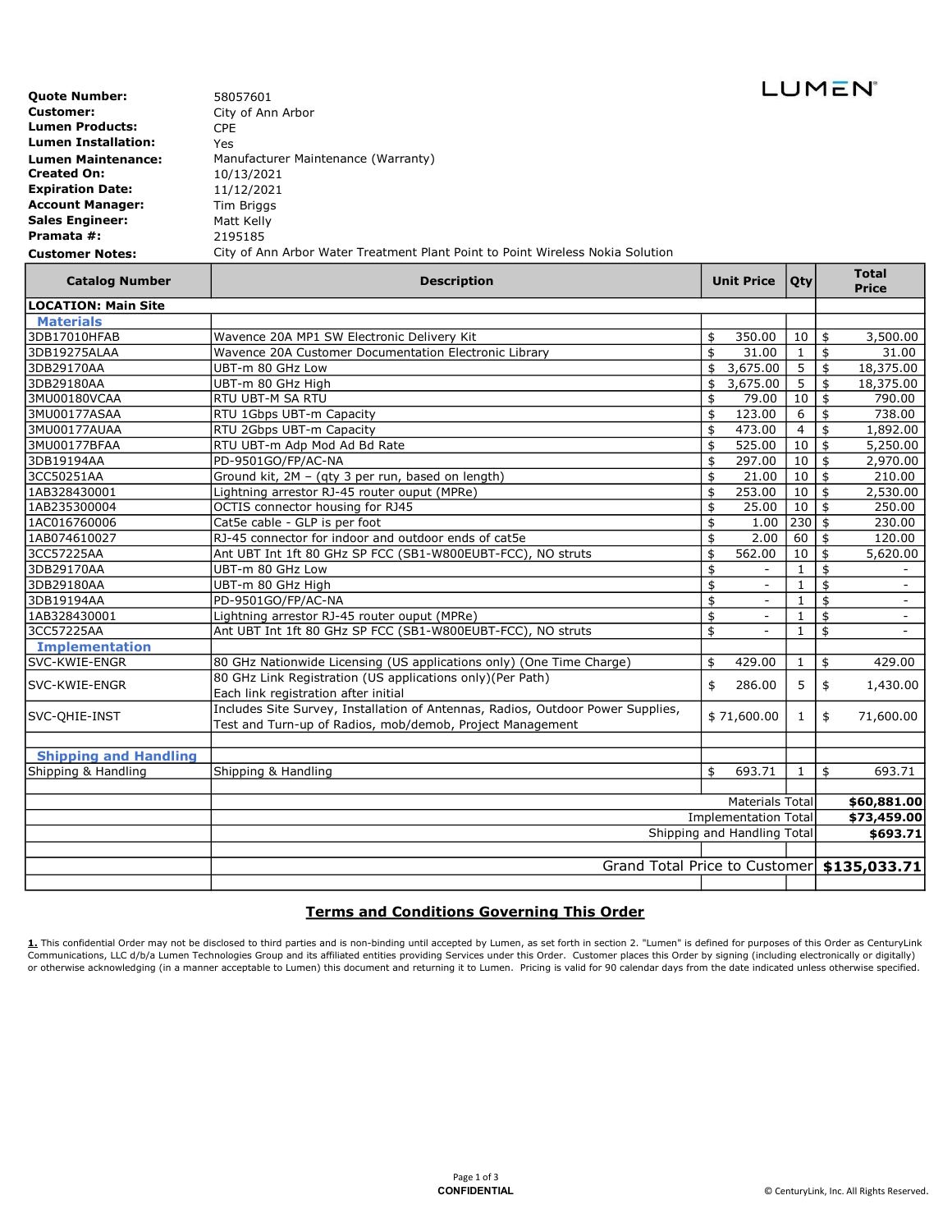| <b>Quote Number:</b>       | 58057601                                         |
|----------------------------|--------------------------------------------------|
| <b>Customer:</b>           | City of Ann Arbor                                |
| <b>Lumen Products:</b>     | CPE                                              |
| <b>Lumen Installation:</b> | Yes                                              |
| <b>Lumen Maintenance:</b>  | Manufacturer Maintenance (Warranty)              |
| <b>Created On:</b>         | 10/13/2021                                       |
| <b>Expiration Date:</b>    | 11/12/2021                                       |
| <b>Account Manager:</b>    | Tim Briggs                                       |
| <b>Sales Engineer:</b>     | Matt Kelly                                       |
| Pramata #:                 | 2195185                                          |
| Customer Notes:            | City of Ann Arbor Water Treatment Plant Point to |

Point Wireless Nokia Solution

| <b>Catalog Number</b>        | <b>Description</b>                                                              | <b>Unit Price</b>              | Qty            | <b>Total</b><br><b>Price</b>                 |
|------------------------------|---------------------------------------------------------------------------------|--------------------------------|----------------|----------------------------------------------|
| <b>LOCATION: Main Site</b>   |                                                                                 |                                |                |                                              |
| <b>Materials</b>             |                                                                                 |                                |                |                                              |
| 3DB17010HFAB                 | Wavence 20A MP1 SW Electronic Delivery Kit                                      | \$<br>350.00                   | 10             | 3,500.00<br>\$                               |
| 3DB19275ALAA                 | Wavence 20A Customer Documentation Electronic Library                           | \$<br>31.00                    | $\mathbf{1}$   | \$<br>31.00                                  |
| 3DB29170AA                   | UBT-m 80 GHz Low                                                                | \$<br>3,675.00                 | 5              | \$<br>18,375.00                              |
| 3DB29180AA                   | UBT-m 80 GHz High                                                               | \$<br>3,675.00                 | 5              | $\overline{\mathfrak{s}}$<br>18,375.00       |
| 3MU00180VCAA                 | RTU UBT-M SA RTU                                                                | \$<br>79.00                    | 10             | $\overline{\mathsf{s}}$<br>790.00            |
| 3MU00177ASAA                 | RTU 1Gbps UBT-m Capacity                                                        | \$<br>123.00                   | 6              | \$<br>738.00                                 |
| 3MU00177AUAA                 | RTU 2Gbps UBT-m Capacity                                                        | \$<br>473.00                   | $\overline{4}$ | \$<br>1,892.00                               |
| 3MU00177BFAA                 | RTU UBT-m Adp Mod Ad Bd Rate                                                    | \$<br>525.00                   | 10             | $\frac{1}{2}$<br>5,250.00                    |
| 3DB19194AA                   | PD-9501GO/FP/AC-NA                                                              | \$<br>297.00                   | 10             | \$<br>2,970.00                               |
| 3CC50251AA                   | Ground kit, 2M - (qty 3 per run, based on length)                               | \$<br>21.00                    | 10             | \$<br>210.00                                 |
| 1AB328430001                 | Lightning arrestor RJ-45 router ouput (MPRe)                                    | \$<br>253.00                   | 10             | \$<br>2,530.00                               |
| 1AB235300004                 | OCTIS connector housing for RJ45                                                | \$<br>25.00                    | 10             | \$<br>250.00                                 |
| 1AC016760006                 | Cat5e cable - GLP is per foot                                                   | \$<br>1.00                     | 230            | $\mathbf{\hat{S}}$<br>230.00                 |
| 1AB074610027                 | RJ-45 connector for indoor and outdoor ends of cat5e                            | \$<br>2.00                     | 60             | \$<br>120.00                                 |
| 3CC57225AA                   | Ant UBT Int 1ft 80 GHz SP FCC (SB1-W800EUBT-FCC), NO struts                     | \$<br>562.00                   | 10             | \$<br>5,620.00                               |
| 3DB29170AA                   | UBT-m 80 GHz Low                                                                | \$                             | 1              | \$                                           |
| 3DB29180AA                   | UBT-m 80 GHz High                                                               | \$<br>$\overline{\phantom{a}}$ | $\mathbf{1}$   | \$                                           |
| 3DB19194AA                   | PD-9501GO/FP/AC-NA                                                              | \$<br>$\overline{\phantom{a}}$ | 1              | \$<br>$\overline{\phantom{a}}$               |
| 1AB328430001                 | Lightning arrestor RJ-45 router ouput (MPRe)                                    | \$                             | $\mathbf{1}$   | \$<br>$\blacksquare$                         |
| 3CC57225AA                   | Ant UBT Int 1ft 80 GHz SP FCC (SB1-W800EUBT-FCC), NO struts                     | \$                             | 1              | \$                                           |
| <b>Implementation</b>        |                                                                                 |                                |                |                                              |
| SVC-KWIE-ENGR                | 80 GHz Nationwide Licensing (US applications only) (One Time Charge)            | \$<br>429.00                   | $\mathbf{1}$   | 429.00<br>\$                                 |
|                              | 80 GHz Link Registration (US applications only)(Per Path)                       |                                |                |                                              |
| SVC-KWIE-ENGR                | Each link registration after initial                                            | 286.00<br>\$                   | 5              | \$<br>1,430.00                               |
| SVC-OHIE-INST                | Includes Site Survey, Installation of Antennas, Radios, Outdoor Power Supplies, |                                |                |                                              |
|                              | Test and Turn-up of Radios, mob/demob, Project Management                       | \$71,600.00                    | $\mathbf{1}$   | \$<br>71,600.00                              |
| <b>Shipping and Handling</b> |                                                                                 |                                |                |                                              |
| Shipping & Handling          | Shipping & Handling                                                             | \$<br>693.71                   | $\mathbf{1}$   | \$<br>693.71                                 |
|                              |                                                                                 |                                |                |                                              |
|                              |                                                                                 | <b>Materials Total</b>         |                | \$60,881.00                                  |
|                              | <b>Implementation Total</b><br>Shipping and Handling Total                      |                                |                | \$73,459.00                                  |
|                              |                                                                                 |                                |                | \$693.71                                     |
|                              |                                                                                 |                                |                |                                              |
|                              |                                                                                 |                                |                | Grand Total Price to Customer   \$135,033.71 |
|                              |                                                                                 |                                |                |                                              |

## Terms and Conditions Governing This Order

<u>1.</u> This confidential Order may not be disclosed to third parties and is non-binding until accepted by Lumen, as set forth in section 2. "Lumen" is defined for purposes of this Order as CenturyLink<br>Communications, LLC d/b

LUMEN<sup>®</sup>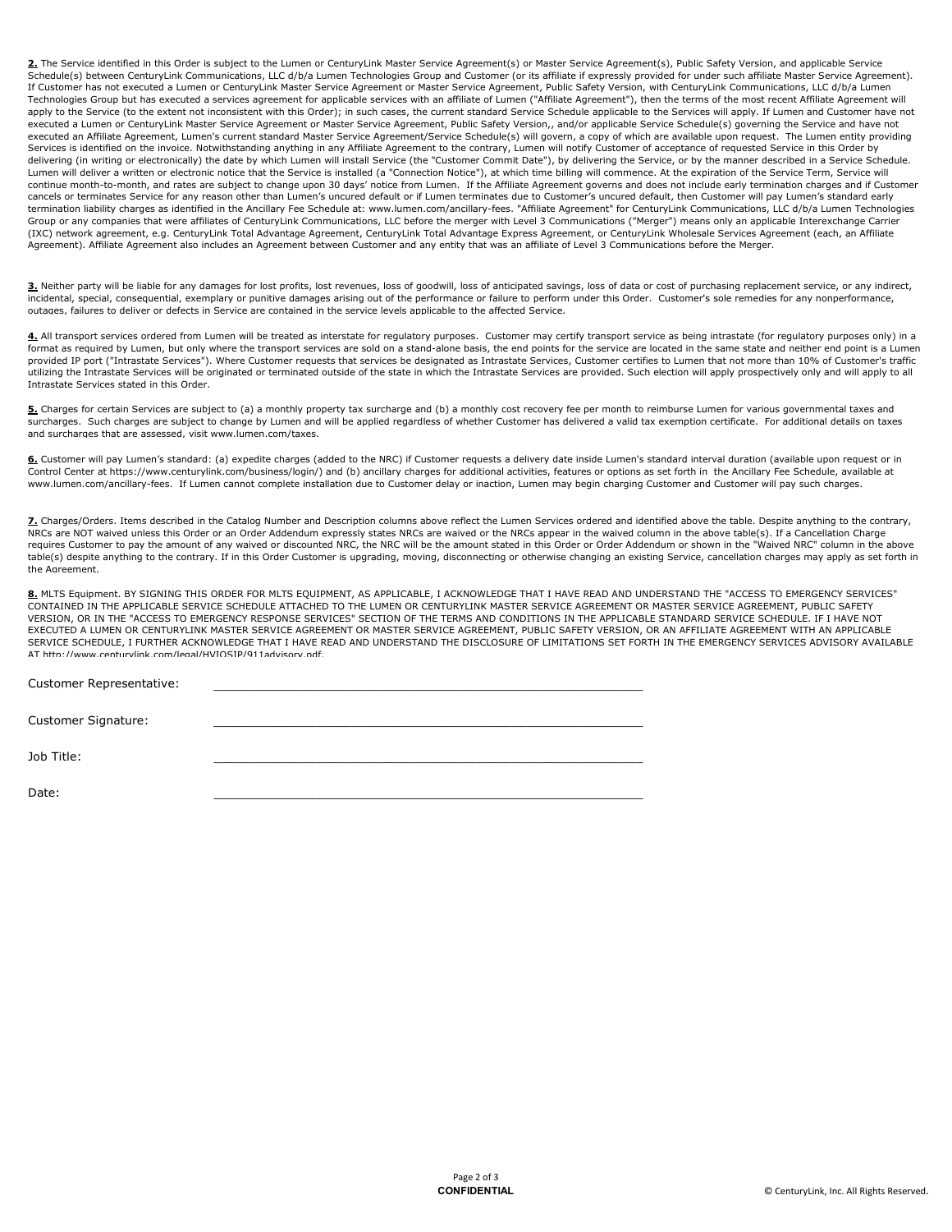2. The Service identified in this Order is subject to the Lumen or CenturyLink Master Service Agreement(s) or Master Service Agreement(s), Public Safety Version, and applicable Service Schedule(s) between CenturyLink Communications, LLC d/b/a Lumen Technologies Group and Customer (or its affiliate if expressly provided for under such affiliate Master Service Agreement). If Customer has not executed a Lumen or CenturyLink Master Service Agreement or Master Service Agreement, Public Safety Version, with CenturyLink Communications, LLC d/b/a Lumen Technologies Group but has executed a services agreement for applicable services with an affiliate of Lumen ("Affiliate Agreement"), then the terms of the most recent Affiliate Agreement will apply to the Service (to the extent not inconsistent with this Order); in such cases, the current standard Service Schedule applicable to the Services will apply. If Lumen and Customer have not executed a Lumen or CenturyLink Master Service Agreement or Master Service Agreement, Public Safety Version,, and/or applicable Service Schedule(s) governing the Service and have not executed an Affiliate Agreement, Lumen's current standard Master Service Agreement/Service Schedule(s) will govern, a copy of which are available upon request. The Lumen entity providing Services is identified on the invoice. Notwithstanding anything in any Affiliate Agreement to the contrary, Lumen will notify Customer of acceptance of requested Service in this Order by delivering (in writing or electronically) the date by which Lumen will install Service (the "Customer Commit Date"), by delivering the Service, or by the manner described in a Service Schedule. Lumen will deliver a written or electronic notice that the Service is installed (a "Connection Notice"), at which time billing will commence. At the expiration of the Service Term, Service will continue month-to-month, and rates are subject to change upon 30 days' notice from Lumen. If the Affiliate Agreement governs and does not include early termination charges and if Customer cancels or terminates Service for any reason other than Lumen's uncured default or if Lumen terminates due to Customer's uncured default, then Customer will pay Lumen's standard early termination liability charges as identified in the Ancillary Fee Schedule at: www.lumen.com/ancillary-fees. "Affiliate Agreement" for CenturyLink Communications, LLC d/b/a Lumen Technologies Group or any companies that were affiliates of CenturyLink Communications, LLC before the merger with Level 3 Communications ("Merger") means only an applicable Interexchange Carrier (IXC) network agreement, e.g. CenturyLink Total Advantage Agreement, CenturyLink Total Advantage Express Agreement, or CenturyLink Wholesale Services Agreement (each, an Affiliate Agreement). Affiliate Agreement also includes an Agreement between Customer and any entity that was an affiliate of Level 3 Communications before the Merger.

3. Neither party will be liable for any damages for lost profits, lost revenues, loss of goodwill, loss of anticipated savings, loss of data or cost of purchasing replacement service, or any indirect, incidental, special, consequential, exemplary or punitive damages arising out of the performance or failure to perform under this Order. Customer's sole remedies for any nonperformance, outages, failures to deliver or defects in Service are contained in the service levels applicable to the affected Service.

4. All transport services ordered from Lumen will be treated as interstate for regulatory purposes. Customer may certify transport service as being intrastate (for regulatory purposes only) in a format as required by Lumen, but only where the transport services are sold on a stand-alone basis, the end points for the service are located in the same state and neither end point is a Lumen provided IP port ("Intrastate Services"). Where Customer requests that services be designated as Intrastate Services, Customer certifies to Lumen that not more than 10% of Customer's traffic utilizing the Intrastate Services will be originated or terminated outside of the state in which the Intrastate Services are provided. Such election will apply prospectively only and will apply to all Intrastate Services stated in this Order.

5. Charges for certain Services are subject to (a) a monthly property tax surcharge and (b) a monthly cost recovery fee per month to reimburse Lumen for various governmental taxes and surcharges. Such charges are subject to change by Lumen and will be applied regardless of whether Customer has delivered a valid tax exemption certificate. For additional details on taxes and surcharges that are assessed, visit www.lumen.com/taxes.

6. Customer will pay Lumen's standard: (a) expedite charges (added to the NRC) if Customer requests a delivery date inside Lumen's standard interval duration (available upon request or in Control Center at https://www.centurylink.com/business/login/) and (b) ancillary charges for additional activities, features or options as set forth in the Ancillary Fee Schedule, available at www.lumen.com/ancillary-fees. If Lumen cannot complete installation due to Customer delay or inaction, Lumen may begin charging Customer and Customer will pay such charges.

Z. Charges/Orders. Items described in the Catalog Number and Description columns above reflect the Lumen Services ordered and identified above the table. Despite anything to the contrary, NRCs are NOT waived unless this Order or an Order Addendum expressly states NRCs are waived or the NRCs appear in the waived column in the above table(s). If a Cancellation Charge requires Customer to pay the amount of any waived or discounted NRC, the NRC will be the amount stated in this Order or Order Addendum or shown in the "Waived NRC" column in the above table(s) despite anything to the contrary. If in this Order Customer is upgrading, moving, disconnecting or otherwise changing an existing Service, cancellation charges may apply as set forth in the Agreement.

8. MLTS Equipment. BY SIGNING THIS ORDER FOR MLTS EQUIPMENT, AS APPLICABLE, I ACKNOWLEDGE THAT I HAVE READ AND UNDERSTAND THE "ACCESS TO EMERGENCY SERVICES" CONTAINED IN THE APPLICABLE SERVICE SCHEDULE ATTACHED TO THE LUMEN OR CENTURYLINK MASTER SERVICE AGREEMENT OR MASTER SERVICE AGREEMENT, PUBLIC SAFETY VERSION, OR IN THE "ACCESS TO EMERGENCY RESPONSE SERVICES" SECTION OF THE TERMS AND CONDITIONS IN THE APPLICABLE STANDARD SERVICE SCHEDULE. IF I HAVE NOT EXECUTED A LUMEN OR CENTURYLINK MASTER SERVICE AGREEMENT OR MASTER SERVICE AGREEMENT, PUBLIC SAFETY VERSION, OR AN AFFILIATE AGREEMENT WITH AN APPLICABLE SERVICE SCHEDULE, I FURTHER ACKNOWLEDGE THAT I HAVE READ AND UNDERSTAND THE DISCLOSURE OF LIMITATIONS SET FORTH IN THE EMERGENCY SERVICES ADVISORY AVAILABLE AT http://www.centurylink.com/legal/HVIQSIP/911advisory.pdf.

 $\_$  , and the contribution of the contribution of  $\mathcal{L}_\mathcal{A}$  , and the contribution of  $\mathcal{L}_\mathcal{A}$ 

| <b>Customer Representative:</b> |  |
|---------------------------------|--|
| Customer Signature:             |  |
| Job Title:                      |  |

Date: